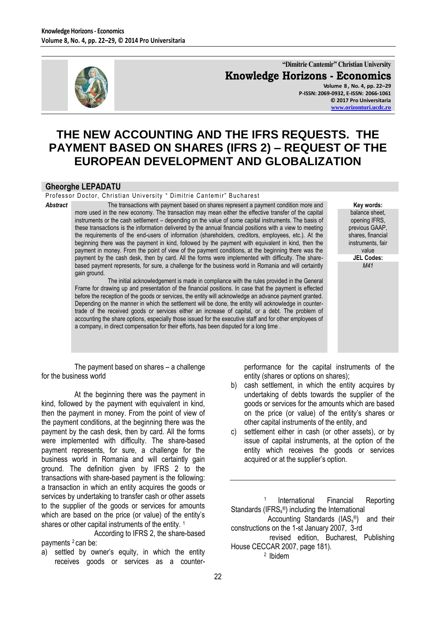

**"Dimitrie Cantemir" Christian University Knowledge Horizons - Economics Volume 8 , No. 4, pp. 22–29 P-ISSN: 2069-0932, E-ISSN: 2066-1061 © 2017 Pro Universitaria**

**[www.orizonturi.ucdc.ro](http://www.orizonturi.ucdc.ro/)**

# **THE NEW ACCOUNTING AND THE IFRS REQUESTS. THE PAYMENT BASED ON SHARES (IFRS 2) – REQUEST OF THE EUROPEAN DEVELOPMENT AND GLOBALIZATION**

#### **Gheorghe LEPADATU**

Professor Doctor, Christian University " Dimitrie Cantemir" Bucharest

*Abstract* The transactions with payment based on shares represent a payment condition more and more used in the new economy. The transaction may mean either the effective transfer of the capital instruments or the cash settlement – depending on the value of some capital instruments. The basis of these transactions is the information delivered by the annual financial positions with a view to meeting the requirements of the end-users of information (shareholders, creditors, employees, etc.). At the beginning there was the payment in kind, followed by the payment with equivalent in kind, then the payment in money. From the point of view of the payment conditions, at the beginning there was the payment by the cash desk, then by card. All the forms were implemented with difficulty. The sharebased payment represents, for sure, a challenge for the business world in Romania and will certaintly gain ground.

> The initial acknowledgement is made in compliance with the rules provided in the General Frame for drawing up and presentation of the financial positions. In case that the payment is effected before the reception of the goods or services, the entity will acknowledge an advance payment granted. Depending on the manner in which the settlement will be done, the entity will acknowledge in countertrade of the received goods or services either an increase of capital, or a debt. The problem of accounting the share options, especially those issued for the executive staff and for other employees of a company, in direct compensation for their efforts, has been disputed for a long time .

**Key words:** balance sheet, opening IFRS, previous GAAP, shares, financial instruments, fair value **JEL Codes:** *M41*

The payment based on shares – a challenge for the business world

At the beginning there was the payment in kind, followed by the payment with equivalent in kind, then the payment in money. From the point of view of the payment conditions, at the beginning there was the payment by the cash desk, then by card. All the forms were implemented with difficulty. The share-based payment represents, for sure, a challenge for the business world in Romania and will certaintly gain ground. The definition given by IFRS 2 to the transactions with share-based payment is the following: a transaction in which an entity acquires the goods or services by undertaking to transfer cash or other assets to the supplier of the goods or services for amounts which are based on the price (or value) of the entity's shares or other capital instruments of the entity.<sup>1</sup>

According to IFRS 2, the share-based payments <sup>2</sup> can be:

a) settled by owner's equity, in which the entity receives goods or services as a counterperformance for the capital instruments of the entity (shares or options on shares);

- b) cash settlement, in which the entity acquires by undertaking of debts towards the supplier of the goods or services for the amounts which are based on the price (or value) of the entity's shares or other capital instruments of the entity, and
- c) settlement either in cash (or other assets), or by issue of capital instruments, at the option of the entity which receives the goods or services acquired or at the supplier's option.

<sup>1</sup> International Financial Reporting Standards (IFRS<sub>s</sub>®) including the International

```
Accounting Standards (IAS<sub>s®</sub>) and their
constructions on the 1-st January 2007, 3-rd
```
 revised edition, Bucharest, Publishing House CECCAR 2007, page 181). 2 Ibidem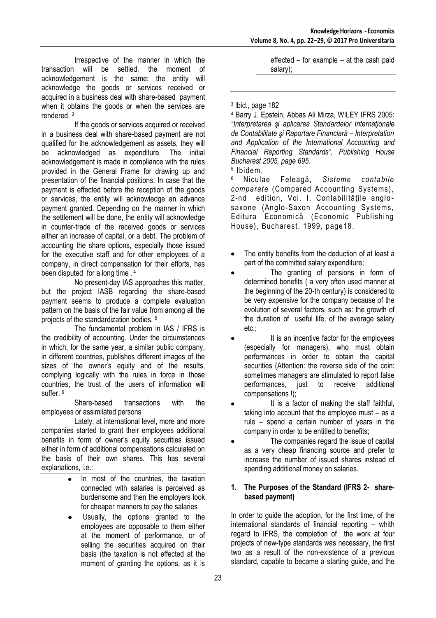Irrespective of the manner in which the transaction will be settled, the moment of acknowledgement is the same: the entity will acknowledge the goods or services received or acquired in a business deal with share-based payment when it obtains the goods or when the services are rendered. <sup>3</sup>

If the goods or services acquired or received in a business deal with share-based payment are not qualified for the acknowledgement as assets, they will be acknowledged as expenditure. The initial acknowledgement is made in compliance with the rules provided in the General Frame for drawing up and presentation of the financial positions. In case that the payment is effected before the reception of the goods or services, the entity will acknowledge an advance payment granted. Depending on the manner in which the settlement will be done, the entity will acknowledge in counter-trade of the received goods or services either an increase of capital, or a debt. The problem of accounting the share options, especially those issued for the executive staff and for other employees of a company, in direct compensation for their efforts, has been disputed for a long time . <sup>4</sup>

No present-day IAS approaches this matter, but the project IASB regarding the share-based payment seems to produce a complete evaluation pattern on the basis of the fair value from among all the projects of the standardization bodies. <sup>5</sup>

The fundamental problem in IAS / IFRS is the credibility of accounting. Under the circumstances in which, for the same year, a similar public company, in different countries, publishes different images of the sizes of the owner's equity and of the results, complying logically with the rules in force in those countries, the trust of the users of information will suffer. 6

Share-based transactions with the employees or assimilated persons

Lately, at international level, more and more companies started to grant their employees additional benefits in form of owner's equity securities issued either in form of additional compensations calculated on the basis of their own shares. This has several explanations, i.e.:

- In most of the countries, the taxation  $\bullet$ connected with salaries is perceived as burdensome and then the employers look for cheaper manners to pay the salaries
- Usually, the options granted to the employees are opposable to them either at the moment of performance, or of selling the securities acquired on their basis (the taxation is not effected at the moment of granting the options, as it is

effected – for example – at the cash paid salary);

## 3 Ibid., page 182

<sup>4</sup> Barry J. Epstein, Abbas Ali Mirza, WILEY IFRS 2005: *"Interpretarea şi aplicarea Standardelor Internaţionale de Contabilitate şi Raportare Financiară – Interpretation and Application of the International Accounting and Financial Reporting Standards", Publishing House Bucharest 2005, page 695.*

5 Ibidem.

<sup>6</sup>Niculae Feleagă, *Sisteme contabile comparate* (Compared Accounting Systems), 2-nd edition, Vol. I, Contabilitățile anglosaxone (Anglo-Saxon Accounting Systems, Editura Economică (Economic Publishing House), Bucharest, 1999, page18.

- The entity benefits from the deduction of at least a part of the committed salary expenditure;
- The granting of pensions in form of determined benefits ( a very often used manner at the beginning of the 20-th century) is considered to be very expensive for the company because of the evolution of several factors, such as: the growth of the duration of useful life, of the average salary etc.;
- It is an incentive factor for the employees (especially for managers), who must obtain performances in order to obtain the capital securities (Attention: the reverse side of the coin: sometimes managers are stimulated to report false performances, just to receive additional compensations !);
- It is a factor of making the staff faithful, taking into account that the employee must – as a rule – spend a certain number of years in the company in order to be entitled to benefits;
- The companies regard the issue of capital as a very cheap financing source and prefer to increase the number of issued shares instead of spending additional money on salaries.

### **1. The Purposes of the Standard (IFRS 2- sharebased payment)**

In order to guide the adoption, for the first time, of the international standards of financial reporting – whith regard to IFRS, the completion of the work at four projects of new-type standards was necessary, the first two as a result of the non-existence of a previous standard, capable to became a starting guide, and the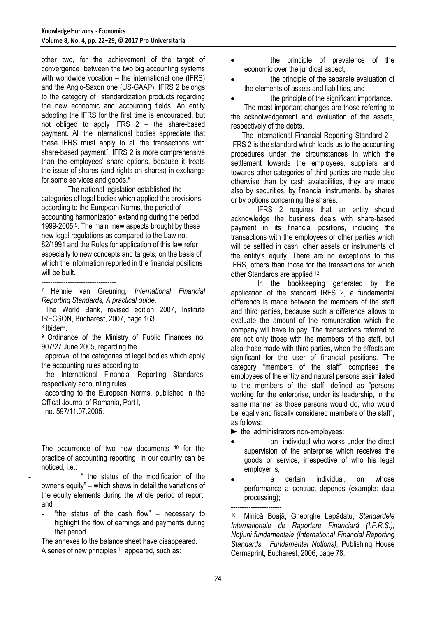other two, for the achievement of the target of convergence between the two big accounting systems with worldwide vocation – the international one (IFRS) and the Anglo-Saxon one (US-GAAP). IFRS 2 belongs to the category of standardization products regarding the new economic and accounting fields. An entity adopting the IFRS for the first time is encouraged, but not obliged to apply IFRS 2 – the share-based payment. All the international bodies appreciate that these IFRS must apply to all the transactions with share-based payment<sup>7</sup> . IFRS 2 is more comprehensive than the employees' share options, because it treats the issue of shares (and rights on shares) in exchange for some services and goods.<sup>8</sup>

The national legislation established the categories of legal bodies which applied the provisions according to the European Norms, the period of accounting harmonization extending during the period 1999-2005 <sup>9</sup> . The main new aspects brought by these new legal regulations as compared to the Law no. 82/1991 and the Rules for application of this law refer especially to new concepts and targets, on the basis of which the information reported in the financial positions will be built

----------------------------------

<sup>7</sup>Hennie van Greuning, *International Financial Reporting Standards, A practical guide,* 

The World Bank, revised edition 2007, Institute IRECSON, Bucharest, 2007, page 163. 8 Ibidem.

<sup>9</sup> Ordinance of the Ministry of Public Finances no. 907/27 June 2005, regarding the

 approval of the categories of legal bodies which apply the accounting rules according to

 the International Financial Reporting Standards, respectively accounting rules

 according to the European Norms, published in the Offical Journal of Romania, Part I,

no. 597/11.07.2005.

The occurrence of two new documents <sup>10</sup> for the practice of accounting reporting in our country can be noticed, i.e.:

the status of the modification of the owner's equity" – which shows in detail the variations of the equity elements during the whole period of report, and

- "the status of the cash flow" – necessary to highlight the flow of earnings and payments during that period.

The annexes to the balance sheet have disappeared. A series of new principles <sup>11</sup> appeared, such as:

- the principle of prevalence of the economic over the juridical aspect,
- the principle of the separate evaluation of the elements of assets and liabilities, and
	- the principle of the significant importance.

The most important changes are those referring to the acknolwedgement and evaluation of the assets, respectively of the debts.

 The International Financial Reporting Standard 2 – IFRS 2 is the standard which leads us to the accounting procedures under the circumstances in which the settlement towards the employees, suppliers and towards other categories of third parties are made also otherwise than by cash avalabilities, they are made also by securities, by financial instruments, by shares or by options concerning the shares.

IFRS 2 requires that an entity should acknowledge the business deals with share-based payment in its financial positions, including the transactions with the employees or other parties which will be settled in cash, other assets or instruments of the entity's equity. There are no exceptions to this IFRS, others than those for the transactions for which other Standards are applied <sup>12</sup>.

In the bookkeeping generated by the application of the standard IRFS 2, a fundamental difference is made between the members of the staff and third parties, because such a difference allows to evaluate the amount of the remuneration which the company will have to pay. The transactions referred to are not only those with the members of the staff, but also those made with third parties, when the effects are significant for the user of financial positions. The category "members of the staff" comprises the employees of the entity and natural persons assimilated to the members of the staff, defined as "persons working for the enterprise, under its leadership, in the same manner as those persons would do, who would be legally and fiscally considered members of the staff", as follows:

► the administrators non-employees:

- an individual who works under the direct supervision of the enterprise which receives the goods or service, irrespective of who his legal employer is,
- a certain individual, on whose performance a contract depends (example: data processing);

----------------------- <sup>10</sup>Minică Boajă, Gheorghe Lepădatu, *Standardele Internationale de Raportare Financiară (I.F.R.S.), Noţiuni fundamentale (International Financial Reporting Standards, Fundamental Notions),* Publishing House Cermaprint, Bucharest, 2006, page 78.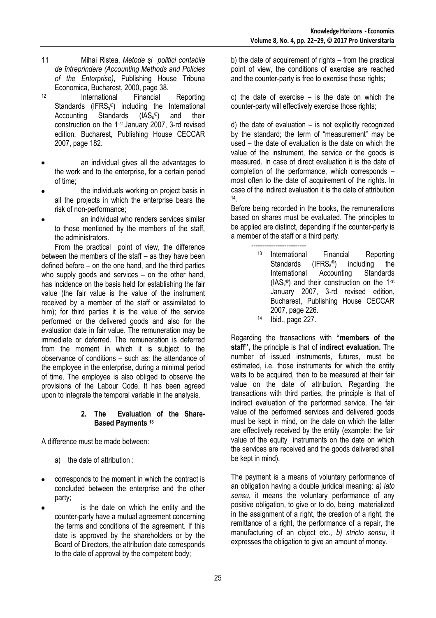- 11 Mihai Ristea, *Metode şi politici contabile de întreprindere (Accounting Methods and Policies of the Enterprise)*, Publishing House Tribuna Economica, Bucharest, 2000, page 38.
- <sup>12</sup> International Financial Reporting Standards (IFRS<sub>s</sub>®) including the International Accounting Standards  $(IAS_s^{\circledcirc})$ and their construction on the 1-st January 2007, 3-rd revised edition, Bucharest, Publishing House CECCAR 2007, page 182.
- an individual gives all the advantages to the work and to the enterprise, for a certain period of time;
- the individuals working on project basis in all the projects in which the enterprise bears the risk of non-performance;
- an individual who renders services similar to those mentioned by the members of the staff, the administrators.

From the practical point of view, the difference between the members of the staff – as they have been defined before – on the one hand, and the third parties who supply goods and services – on the other hand, has incidence on the basis held for establishing the fair value (the fair value is the value of the instrument received by a member of the staff or assimilated to him); for third parties it is the value of the service performed or the delivered goods and also for the evaluation date in fair value. The remuneration may be immediate or deferred. The remuneration is deferred from the moment in which it is subject to the observance of conditions – such as: the attendance of the employee in the enterprise, during a minimal period of time. The employee is also obliged to observe the provisions of the Labour Code. It has been agreed upon to integrate the temporal variable in the analysis.

### **2. The Evaluation of the Share-Based Payments <sup>13</sup>**

A difference must be made between:

- a) the date of attribution :
- corresponds to the moment in which the contract is concluded between the enterprise and the other party;
- is the date on which the entity and the counter-party have a mutual agreement concerning the terms and conditions of the agreement. If this date is approved by the shareholders or by the Board of Directors, the attribution date corresponds to the date of approval by the competent body;

b) the date of acquirement of rights – from the practical point of view, the conditions of exercise are reached and the counter-party is free to exercise those rights;

c) the date of exercise – is the date on which the counter-party will effectively exercise those rights;

d) the date of evaluation – is not explicitly recognized by the standard; the term of "measurement" may be used – the date of evaluation is the date on which the value of the instrument, the service or the goods is measured. In case of direct evaluation it is the date of completion of the performance, which corresponds – most often to the date of acquirement of the rights. In case of the indirect evaluation it is the date of attribution 14 .

Before being recorded in the books, the remunerations based on shares must be evaluated. The principles to be applied are distinct, depending if the counter-party is a member of the staff or a third party.

 ------------------------- <sup>13</sup> International Financial Reporting Standards (IFRS<sub>s</sub>®) including the International Accounting Standards (IAS<sup>s</sup> ®) and their construction on the 1-st January 2007, 3-rd revised edition, Bucharest, Publishing House CECCAR 2007, page 226. <sup>14</sup> Ibid., page 227.

Regarding the transactions with **"members of the staff",** the principle is that of **indirect evaluation.** The number of issued instruments, futures, must be estimated, i.e. those instruments for which the entity waits to be acquired, then to be measured at their fair value on the date of attribution. Regarding the transactions with third parties, the principle is that of indirect evaluation of the performed service. The fair value of the performed services and delivered goods must be kept in mind, on the date on which the latter are effectively received by the entity (example: the fair value of the equity instruments on the date on which the services are received and the goods delivered shall be kept in mind).

The payment is a means of voluntary performance of an obligation having a double juridical meaning: *a) lato sensu*, it means the voluntary performance of any positive obligation, to give or to do, being materialized in the assignment of a right, the creation of a right, the remittance of a right, the performance of a repair, the manufacturing of an object etc., *b) stricto sensu*, it expresses the obligation to give an amount of money.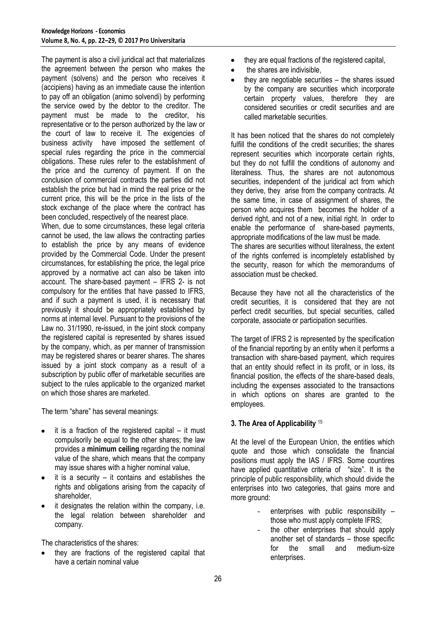The payment is also a civil juridical act that materializes the agreement between the person who makes the payment (solvens) and the person who receives it (accipiens) having as an immediate cause the intention to pay off an obligation (animo solvendi) by performing the service owed by the debtor to the creditor. The payment must be made to the creditor, his representative or to the person authorized by the law or the court of law to receive it. The exigencies of business activity have imposed the settlement of special rules regarding the price in the commercial obligations. These rules refer to the establishment of the price and the currency of payment. If on the conclusion of commercial contracts the parties did not establish the price but had in mind the real price or the current price, this will be the price in the lists of the stock exchange of the place where the contract has been concluded, respectively of the nearest place.

When, due to some circumstances, these legal criteria cannot be used, the law allows the contracting parties to establish the price by any means of evidence provided by the Commercial Code. Under the present circumstances, for establishing the price, the legal price approved by a normative act can also be taken into account. The share-based payment – IFRS 2- is not compulsory for the entities that have passed to IFRS, and if such a payment is used, it is necessary that previously it should be appropriately established by norms at internal level. Pursuant to the provisions of the Law no. 31/1990, re-issued, in the joint stock company the registered capital is represented by shares issued by the company, which, as per manner of transmission may be registered shares or bearer shares. The shares issued by a joint stock company as a result of a subscription by public offer of marketable securities are subject to the rules applicable to the organized market on which those shares are marketed.

The term "share" has several meanings:

- it is a fraction of the registered capital it must compulsorily be equal to the other shares; the law provides a **minimum ceiling** regarding the nominal value of the share, which means that the company may issue shares with a higher nominal value,
- it is a security  $-$  it contains and establishes the rights and obligations arising from the capacity of shareholder,
- it designates the relation within the company, i.e. the legal relation between shareholder and company.

The characteristics of the shares:

they are fractions of the registered capital that have a certain nominal value

- they are equal fractions of the registered capital,
- the shares are indivisible,
- they are negotiable securities the shares issued by the company are securities which incorporate certain property values, therefore they are considered securities or credit securities and are called marketable securities.

It has been noticed that the shares do not completely fulfill the conditions of the credit securities; the shares represent securities which incorporate certain rights, but they do not fulfill the conditions of autonomy and literalness. Thus, the shares are not autonomous securities, independent of the juridical act from which they derive, they arise from the company contracts. At the same time, in case of assignment of shares, the person who acquires them becomes the holder of a derived right, and not of a new, initial right. In order to enable the performance of share-based payments, appropriate modifications of the law must be made.

The shares are securities without literalness, the extent of the rights conferred is incompletely established by the security, reason for which the memorandums of association must be checked.

Because they have not all the characteristics of the credit securities, it is considered that they are not perfect credit securities, but special securities, called corporate, associate or participation securities.

The target of IFRS 2 is represented by the specification of the financial reporting by an entity when it performs a transaction with share-based payment, which requires that an entity should reflect in its profit, or in loss, its financial position, the effects of the share-based deals, including the expenses associated to the transactions in which options on shares are granted to the employees.

## **3. The Area of Applicability** <sup>15</sup>

At the level of the European Union, the entities which quote and those which consolidate the financial positions must apply the IAS / IFRS. Some countires have applied quantitative criteria of "size". It is the principle of public responsibility, which should divide the enterprises into two categories, that gains more and more ground:

- enterprises with public responsibility  $$ those who must apply complete IFRS;
- the other enterprises that should apply another set of standards – those specific for the small and medium-size enterprises.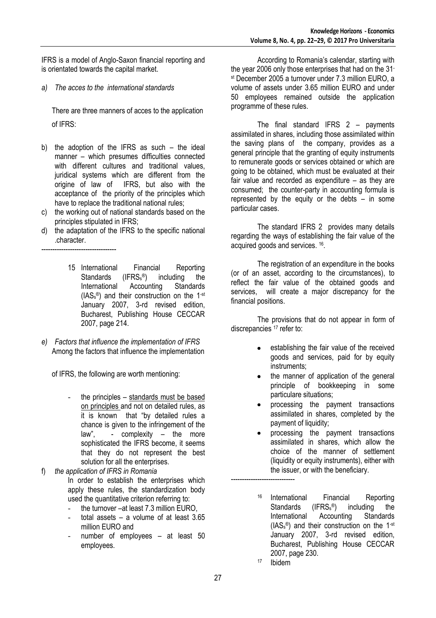IFRS is a model of Anglo-Saxon financial reporting and is orientated towards the capital market.

*a) The acces to the international standards*

There are three manners of acces to the application of IFRS:

- b) the adoption of the IFRS as such the ideal manner – which presumes difficulties connected with different cultures and traditional values, juridical systems which are different from the origine of law of IFRS, but also with the acceptance of the priority of the principles which have to replace the traditional national rules;
- c) the working out of national standards based on the principles stipulated in IFRS;
- d) the adaptation of the IFRS to the specific national .character.

----------------------------------

- 15 International Financial Reporting<br>Standards (IFRS,<sup>®</sup>) including the Standards (IFRS<sub>s</sub>®) in<br>International Accounting including the International Accounting Standards (IAS<sup>s</sup> ®) and their construction on the 1-st January 2007, 3-rd revised edition, Bucharest, Publishing House CECCAR 2007, page 214.
- *e) Factors that influence the implementation of IFRS* Among the factors that influence the implementation

of IFRS, the following are worth mentioning:

the principles  $-$  standards must be based on principles and not on detailed rules, as it is known that "by detailed rules a chance is given to the infringement of the law", - complexity – the more sophisticated the IFRS become, it seems that they do not represent the best solution for all the enterprises.

f) *the application of IFRS in Romania* In order to establish the enterprises which apply these rules, the standardization body used the quantitative criterion referring to:

- the turnover –at least 7.3 million EURO,
- total assets a volume of at least  $3.65$ million EURO and
- number of employees  $-$  at least 50 employees.

According to Romania's calendar, starting with the year 2006 only those enterprises that had on the 31 st December 2005 a turnover under 7.3 million EURO, a volume of assets under 3.65 million EURO and under 50 employees remained outside the application programme of these rules.

The final standard IFRS 2 – payments assimilated in shares, including those assimilated within the saving plans of the company, provides as a general principle that the granting of equity instruments to remunerate goods or services obtained or which are going to be obtained, which must be evaluated at their fair value and recorded as expenditure – as they are consumed; the counter-party in accounting formula is represented by the equity or the debts  $-$  in some particular cases.

The standard IFRS 2 provides many details regarding the ways of establishing the fair value of the acquired goods and services. <sup>16</sup> .

The registration of an expenditure in the books (or of an asset, according to the circumstances), to reflect the fair value of the obtained goods and services, will create a major discrepancy for the financial positions.

The provisions that do not appear in form of discrepancies <sup>17</sup> refer to:

- establishing the fair value of the received goods and services, paid for by equity instruments;
- the manner of application of the general principle of bookkeeping in some particulare situations;
- processing the payment transactions assimilated in shares, completed by the payment of liquidity;
- processing the payment transactions assimilated in shares, which allow the choice of the manner of settlement (liquidity or equity instruments), either with the issuer, or with the beneficiary.
- <sup>16</sup> International Financial Reporting Standards (IFRS<sub>s</sub>®) including the International Accounting Standards (IAS<sup>s</sup> ®) and their construction on the 1-st January 2007, 3-rd revised edition, Bucharest, Publishing House CECCAR 2007, page 230.
- <sup>17</sup> Ibidem

-----------------------------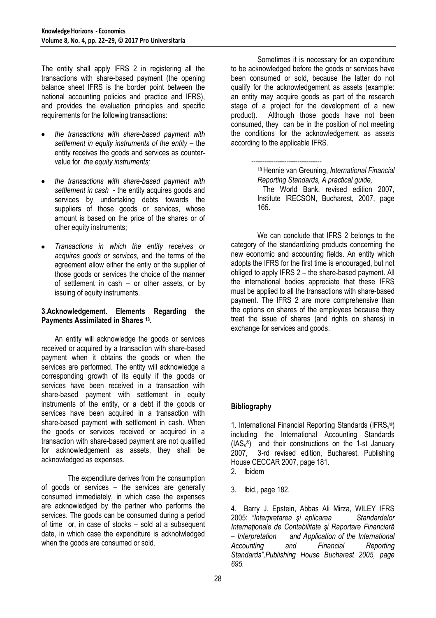The entity shall apply IFRS 2 in registering all the transactions with share-based payment (the opening balance sheet IFRS is the border point between the national accounting policies and practice and IFRS), and provides the evaluation principles and specific requirements for the following transactions:

- *the transactions with share-based payment with settlement in equity instruments of the entity – the* entity receives the goods and services as countervalue for *the equity instruments;*
- *the transactions with share-based payment with settlement in cash* - the entity acquires goods and services by undertaking debts towards the suppliers of those goods or services, whose amount is based on the price of the shares or of other equity instruments;
- *Transactions in which the entity receives or acquires goods or services,* and the terms of the agreement allow either the entiy or the supplier of those goods or services the choice of the manner of settlement in cash – or other assets, or by issuing of equity instruments.

### **3.Acknowledgement. Elements Regarding the Payments Assimilated in Shares <sup>18</sup> .**

An entity will acknowledge the goods or services received or acquired by a transaction with share-based payment when it obtains the goods or when the services are performed. The entity will acknowledge a corresponding growth of its equity if the goods or services have been received in a transaction with share-based payment with settlement in equity instruments of the entity, or a debt if the goods or services have been acquired in a transaction with share-based payment with settlement in cash. When the goods or services received or acquired in a transaction with share-based payment are not qualified for acknowledgement as assets, they shall be acknowledged as expenses.

The expenditure derives from the consumption of goods or services – the services are generally consumed immediately, in which case the expenses are acknowledged by the partner who performs the services. The goods can be consumed during a period of time or, in case of stocks – sold at a subsequent date, in which case the expenditure is acknolwledged when the goods are consumed or sold.

Sometimes it is necessary for an expenditure to be acknowledged before the goods or services have been consumed or sold, because the latter do not qualify for the acknowledgement as assets (example: an entity may acquire goods as part of the research stage of a project for the development of a new product). Although those goods have not been consumed, they can be in the position of not meeting the conditions for the acknowledgement as assets according to the applicable IFRS.

 -------------------------------- <sup>18</sup>Hennie van Greuning, *International Financial Reporting Standards, A practical guide,* 

 The World Bank, revised edition 2007, Institute IRECSON, Bucharest, 2007, page 165.

We can conclude that IFRS 2 belongs to the category of the standardizing products concerning the new economic and accounting fields. An entity which adopts the IFRS for the first time is encouraged, but not obliged to apply IFRS 2 – the share-based payment. All the international bodies appreciate that these IFRS must be applied to all the transactions with share-based payment. The IFRS 2 are more comprehensive than the options on shares of the employees because they treat the issue of shares (and rights on shares) in exchange for services and goods.

## **Bibliography**

1. International Financial Reporting Standards (IFRS<sub>s</sub>®) including the International Accounting Standards (IAS<sup>s</sup> ®) and their constructions on the 1-st January 2007, 3-rd revised edition, Bucharest, Publishing House CECCAR 2007, page 181.

- 2. Ibidem
- 3. Ibid., page 182.

4. Barry J. Epstein, Abbas Ali Mirza, WILEY IFRS 2005: *"Interpretarea şi aplicarea Standardelor Internaţionale de Contabilitate şi Raportare Financiară – Interpretation and Application of the International Accounting and Financial Reporting Standards",Publishing House Bucharest 2005, page 695.*